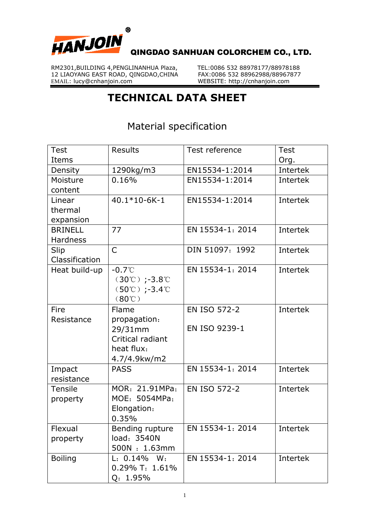

RM2301,BUILDING 4, PENGLINANHUA Plaza, TEL:0086 532 88978177/88978188<br>12 LIAOYANG EAST ROAD, OINGDAO,CHINA FAX:0086 532 88962988/88967877 12 LIAOYANG EAST ROAD, QINGDAO, CHINA EMAIL: lucy@cnhanjoin.com

WEBSITE: http://cnhanjoin.com

## **TECHNICAL DATA SHEET**

Material specification

| <b>Test</b>     | <b>Results</b>                                  | Test reference   | <b>Test</b> |
|-----------------|-------------------------------------------------|------------------|-------------|
| Items           |                                                 |                  | Org.        |
| Density         | 1290kg/m3                                       | EN15534-1:2014   | Intertek    |
| Moisture        | 0.16%                                           | EN15534-1:2014   | Intertek    |
| content         |                                                 |                  |             |
| Linear          | 40.1*10-6K-1                                    | EN15534-1:2014   | Intertek    |
| thermal         |                                                 |                  |             |
| expansion       |                                                 |                  |             |
| <b>BRINELL</b>  | 77                                              | EN 15534-1: 2014 | Intertek    |
| <b>Hardness</b> |                                                 |                  |             |
| Slip            | $\overline{C}$                                  | DIN 51097: 1992  | Intertek    |
| Classification  |                                                 |                  |             |
| Heat build-up   | $-0.7^{\circ}$ C                                | EN 15534-1: 2014 | Intertek    |
|                 | $(30^{\circ}\text{C})$ ;-3.8 $^{\circ}\text{C}$ |                  |             |
|                 | $(50^{\circ}\text{C})$ ;-3.4 $^{\circ}\text{C}$ |                  |             |
|                 | $(80^\circ\text{C})$                            |                  |             |
| Fire            | Flame                                           | EN ISO 572-2     | Intertek    |
| Resistance      | propagation:                                    |                  |             |
|                 | 29/31mm                                         | EN ISO 9239-1    |             |
|                 | Critical radiant                                |                  |             |
|                 | heat flux:                                      |                  |             |
|                 | 4.7/4.9kw/m2                                    |                  |             |
| Impact          | <b>PASS</b>                                     | EN 15534-1: 2014 | Intertek    |
| resistance      |                                                 |                  |             |
| Tensile         | MOR: 21.91MPa;                                  | EN ISO 572-2     | Intertek    |
| property        | MOE: 5054MPa;                                   |                  |             |
|                 | Elongation:                                     |                  |             |
|                 | 0.35%                                           |                  |             |
| Flexual         | Bending rupture                                 | EN 15534-1: 2014 | Intertek    |
| property        | load: 3540N                                     |                  |             |
|                 | 500N: 1.63mm                                    |                  |             |
| <b>Boiling</b>  | L: 0.14% W:                                     | EN 15534-1: 2014 | Intertek    |
|                 | 0.29% T: 1.61%                                  |                  |             |
|                 | Q: 1.95%                                        |                  |             |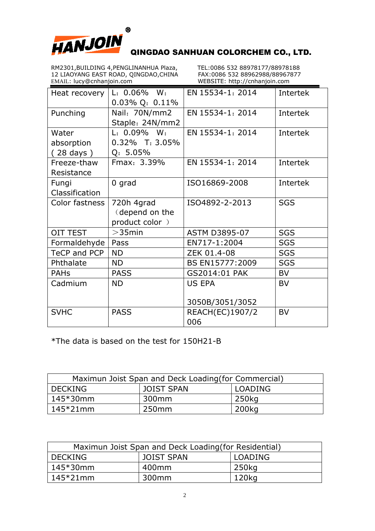

QINGDAO SANHUAN COLORCHEM CO., LTD.

RM2301,BUILDING 4, PENGLINANHUA Plaza, TEL:0086 532 88978177/88978188<br>12 LIAOYANG EAST ROAD, OINGDAO,CHINA FAX:0086 532 88962988/88967877 12 LIAOYANG EAST ROAD, QINGDAO, CHINA EMAIL: lucy@cnhanjoin.com

WEBSITE: http://cnhanjoin.com

| Heat recovery       | $L: 0.06\%$ W:<br>$0.03\%$ Q: $0.11\%$ | EN 15534-1: 2014       | Intertek   |
|---------------------|----------------------------------------|------------------------|------------|
| Punching            | Nail: 70N/mm2<br>Staple: 24N/mm2       | EN 15534-1: 2014       | Intertek   |
| Water               | $L: 0.09\%$ W:                         | EN 15534-1: 2014       | Intertek   |
| absorption          | $0.32\%$ T: 3.05%                      |                        |            |
| $(28 \text{ days})$ | $Q: 5.05\%$                            |                        |            |
| Freeze-thaw         | Fmax: 3.39%                            | EN 15534-1: 2014       | Intertek   |
| Resistance          |                                        |                        |            |
| Fungi               | 0 grad                                 | ISO16869-2008          | Intertek   |
| Classification      |                                        |                        |            |
| Color fastness      | 720h 4grad                             | ISO4892-2-2013         | <b>SGS</b> |
|                     | (depend on the                         |                        |            |
|                     | product color)                         |                        |            |
| <b>OIT TEST</b>     | $>$ 35 $min$                           | <b>ASTM D3895-07</b>   | <b>SGS</b> |
| Formaldehyde        | Pass                                   | EN717-1:2004           | <b>SGS</b> |
| TeCP and PCP        | <b>ND</b>                              | ZEK 01.4-08            | <b>SGS</b> |
| Phthalate           | <b>ND</b>                              | BS EN15777:2009        | <b>SGS</b> |
| <b>PAHs</b>         | <b>PASS</b>                            | GS2014:01 PAK          | <b>BV</b>  |
| Cadmium             | <b>ND</b>                              | <b>US EPA</b>          | <b>BV</b>  |
|                     |                                        |                        |            |
|                     |                                        | 3050B/3051/3052        |            |
| <b>SVHC</b>         | <b>PASS</b>                            | <b>REACH(EC)1907/2</b> | <b>BV</b>  |
|                     |                                        | 006                    |            |

\*The data is based on the test for 150H21-B

| Maximun Joist Span and Deck Loading (for Commercial) |                   |         |  |  |
|------------------------------------------------------|-------------------|---------|--|--|
| <b>DECKING</b>                                       | <b>JOIST SPAN</b> | LOADING |  |  |
| $145*30$ mm                                          | 300mm             | 250kg   |  |  |
| $145*21$ mm                                          | 250 <sub>mm</sub> | 200kg   |  |  |

| Maximun Joist Span and Deck Loading (for Residential) |                   |         |  |  |
|-------------------------------------------------------|-------------------|---------|--|--|
| DECKING                                               | <b>JOIST SPAN</b> | LOADING |  |  |
| $145*30mm$                                            | 400mm             | 250kg   |  |  |
| $145*21$ mm                                           | 300mm             | 120kg   |  |  |